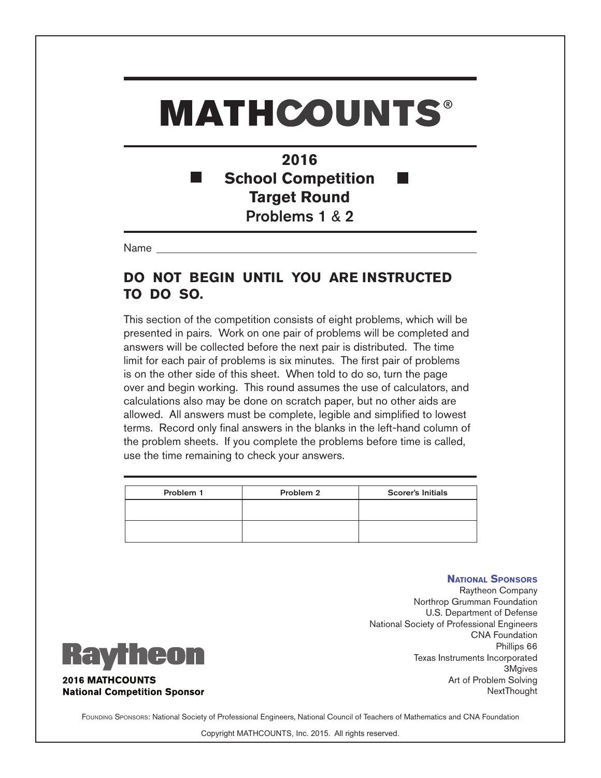### **2016 School Competition Target Round** Problems 1 & 2

Name

#### **DO NOT BEGIN UNTIL YOU ARE INSTRUCTED TO DO SO.**

This section of the competition consists of eight problems, which will be presented in pairs. Work on one pair of problems will be completed and answers will be collected before the next pair is distributed. The time limit for each pair of problems is six minutes. The first pair of problems is on the other side of this sheet. When told to do so, turn the page over and begin working. This round assumes the use of calculators, and calculations also may be done on scratch paper, but no other aids are allowed. All answers must be complete, legible and simplified to lowest terms. Record only final answers in the blanks in the left-hand column of the problem sheets. If you complete the problems before time is called, use the time remaining to check your answers.

| Problem 1 | Problem 2 | <b>Scorer's Initials</b> |
|-----------|-----------|--------------------------|
|           |           |                          |
|           |           |                          |
|           |           |                          |

#### **National Sponsors**

Raytheon Company Northrop Grumman Foundation U.S. Department of Defense National Society of Professional Engineers CNA Foundation Phillips 66 Texas Instruments Incorporated 3Mgives Art of Problem Solving NextThought



FOUNDING SPONSORS: National Society of Professional Engineers, National Council of Teachers of Mathematics and CNA Foundation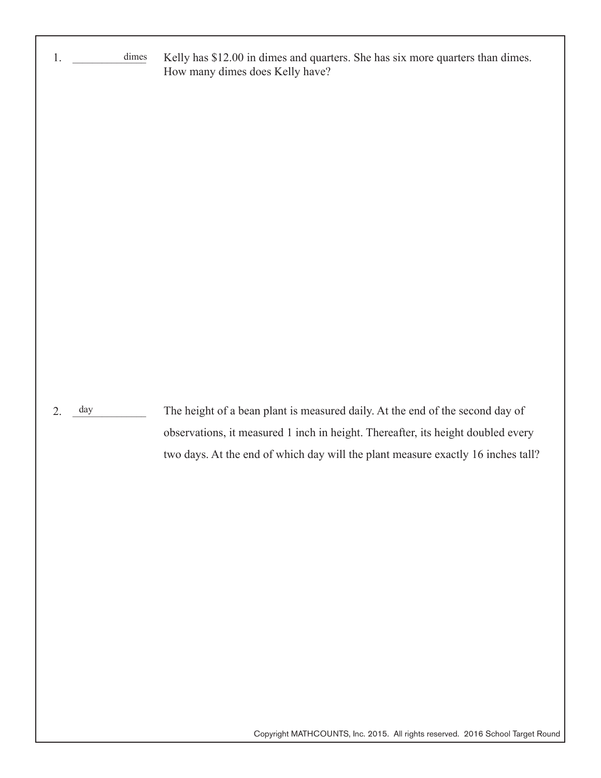| 1.        | dimes | Kelly has \$12.00 in dimes and quarters. She has six more quarters than dimes.<br>How many dimes does Kelly have?                                                                                                                                     |
|-----------|-------|-------------------------------------------------------------------------------------------------------------------------------------------------------------------------------------------------------------------------------------------------------|
| day<br>2. |       | The height of a bean plant is measured daily. At the end of the second day of<br>observations, it measured 1 inch in height. Thereafter, its height doubled every<br>two days. At the end of which day will the plant measure exactly 16 inches tall? |

Copyright MATHCOUNTS, Inc. 2015. All rights reserved. 2016 School Target Round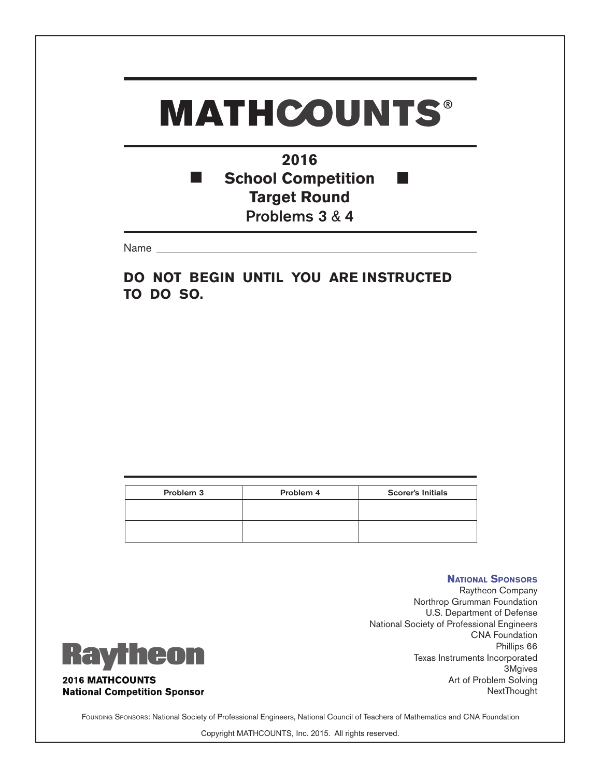#### **2016 School Competition** T. **Target Round** Problems 3 & 4

Name

**DO NOT BEGIN UNTIL YOU ARE INSTRUCTED TO DO SO.**

| Problem 3 | Problem 4 | <b>Scorer's Initials</b> |
|-----------|-----------|--------------------------|
|           |           |                          |
|           |           |                          |

### **Raytheon 2016 MATHCOUNTS National Competition Sponsor**

Raytheon Company Northrop Grumman Foundation U.S. Department of Defense National Society of Professional Engineers CNA Foundation Phillips 66 Texas Instruments Incorporated 3Mgives Art of Problem Solving NextThought

**National Sponsors**

FOUNDING SPONSORS: National Society of Professional Engineers, National Council of Teachers of Mathematics and CNA Foundation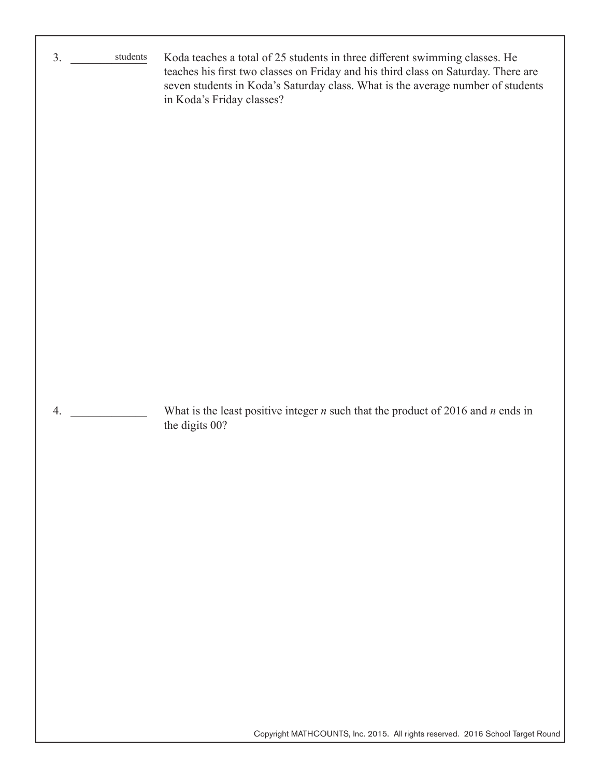| $\rm students$<br>3. | Koda teaches a total of 25 students in three different swimming classes. He<br>teaches his first two classes on Friday and his third class on Saturday. There are<br>seven students in Koda's Saturday class. What is the average number of students<br>in Koda's Friday classes? |
|----------------------|-----------------------------------------------------------------------------------------------------------------------------------------------------------------------------------------------------------------------------------------------------------------------------------|
| 4.                   | What is the least positive integer $n$ such that the product of 2016 and $n$ ends in<br>the digits 00?                                                                                                                                                                            |

Copyright MATHCOUNTS, Inc. 2015. All rights reserved. 2016 School Target Round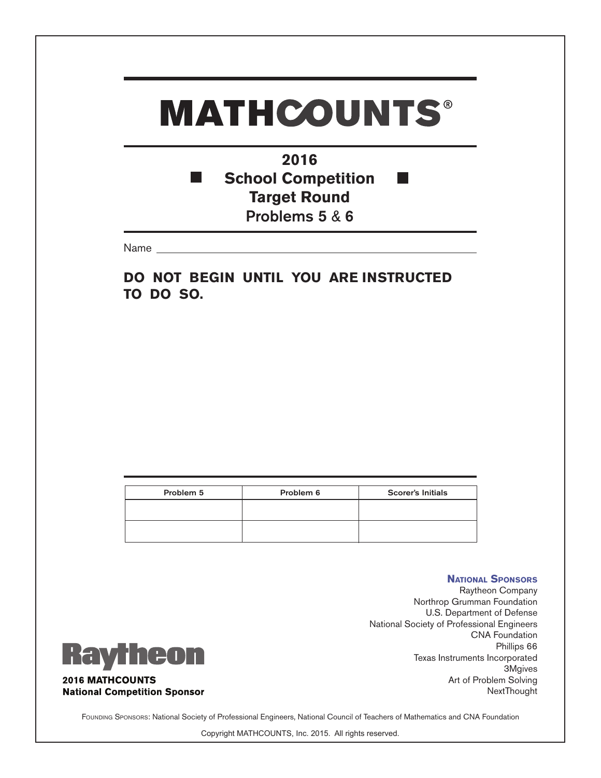**2016 School Competition** T. **Target Round** Problems 5 & 6

Name

**DO NOT BEGIN UNTIL YOU ARE INSTRUCTED TO DO SO.**

| Problem 5 | Problem 6 | <b>Scorer's Initials</b> |
|-----------|-----------|--------------------------|
|           |           |                          |
|           |           |                          |

### **Raytheon 2016 MATHCOUNTS National Competition Sponsor**

Raytheon Company Northrop Grumman Foundation U.S. Department of Defense National Society of Professional Engineers CNA Foundation Phillips 66 Texas Instruments Incorporated 3Mgives Art of Problem Solving NextThought

**National Sponsors**

FOUNDING SPONSORS: National Society of Professional Engineers, National Council of Teachers of Mathematics and CNA Foundation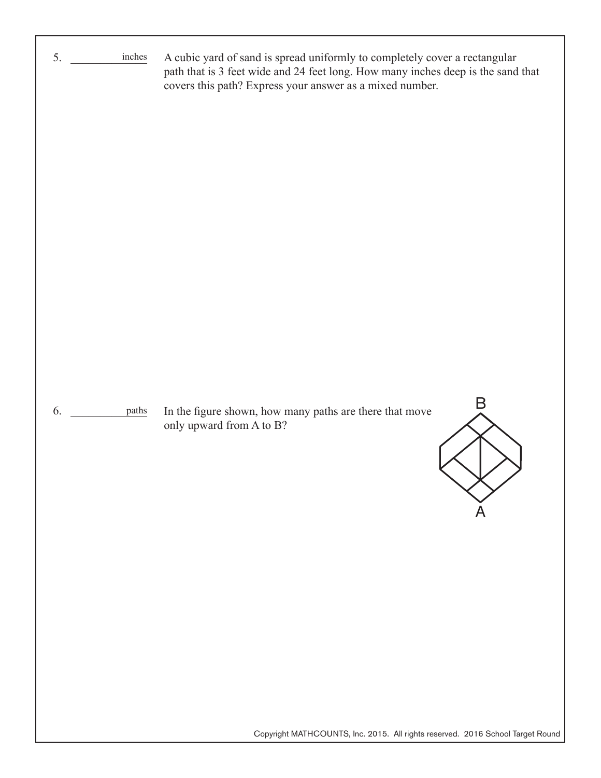| 5. | inches | A cubic yard of sand is spread uniformly to completely cover a rectangular<br>path that is 3 feet wide and 24 feet long. How many inches deep is the sand that<br>covers this path? Express your answer as a mixed number. |
|----|--------|----------------------------------------------------------------------------------------------------------------------------------------------------------------------------------------------------------------------------|
| 6. | paths  | Β<br>In the figure shown, how many paths are there that move<br>only upward from A to B?                                                                                                                                   |
|    |        | Copyright MATHCOUNTS, Inc. 2015. All rights reserved. 2016 School Target Round                                                                                                                                             |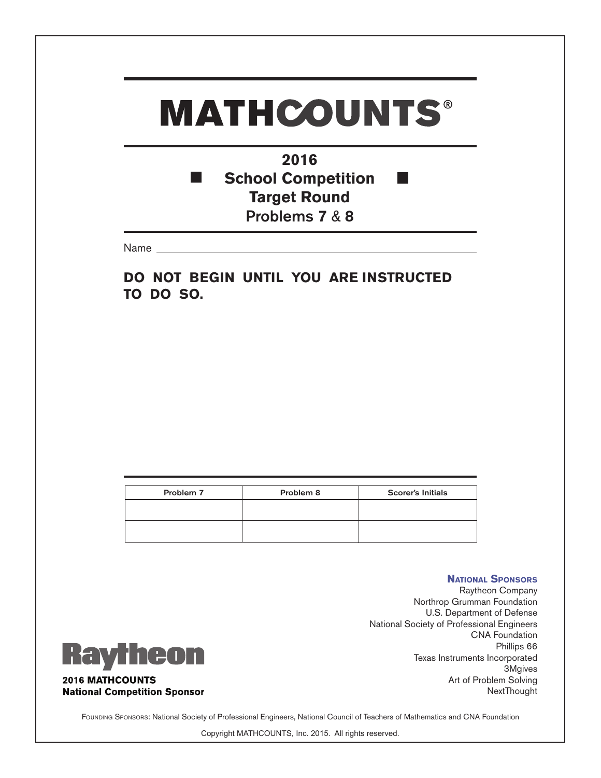**2016 School Competition** T. **Target Round** Problems 7 & 8

Name

**DO NOT BEGIN UNTIL YOU ARE INSTRUCTED TO DO SO.**

| Problem 7 | Problem 8 | <b>Scorer's Initials</b> |
|-----------|-----------|--------------------------|
|           |           |                          |
|           |           |                          |
|           |           |                          |
|           |           |                          |

### **Raytheon 2016 MATHCOUNTS National Competition Sponsor**

Raytheon Company Northrop Grumman Foundation U.S. Department of Defense National Society of Professional Engineers CNA Foundation Phillips 66 Texas Instruments Incorporated 3Mgives Art of Problem Solving NextThought

**National Sponsors**

FOUNDING SPONSORS: National Society of Professional Engineers, National Council of Teachers of Mathematics and CNA Foundation